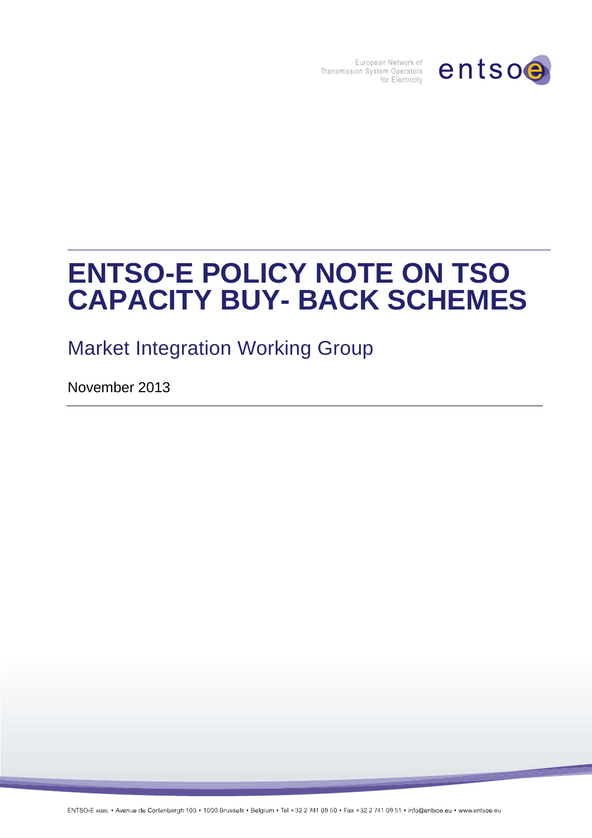

European Network of<br>Transmission System Operators<br>for Electricity

# **ENTSO-E POLICY NOTE ON TSO CAPACITY BUY- BACK SCHEMES**

Market Integration Working Group

November 2013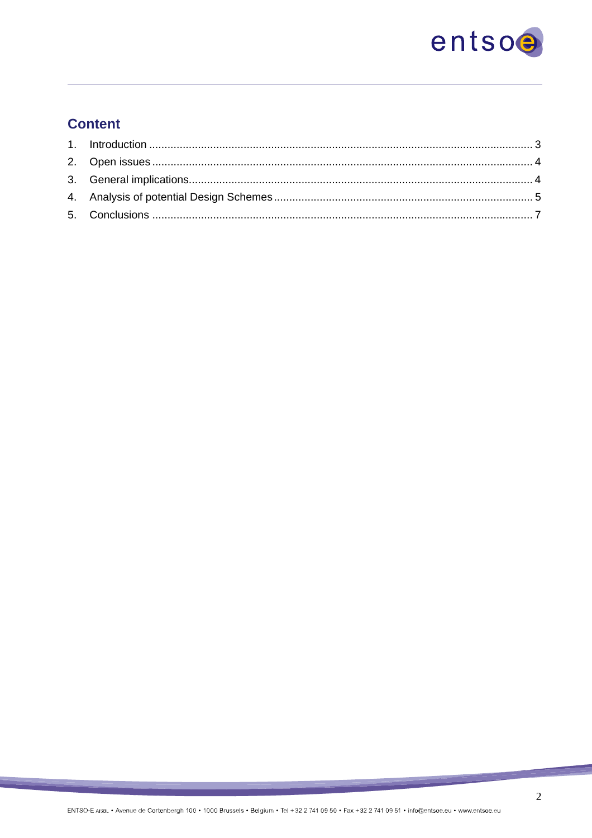

# **Content**

**Contract Contract Contract Contract** 

æ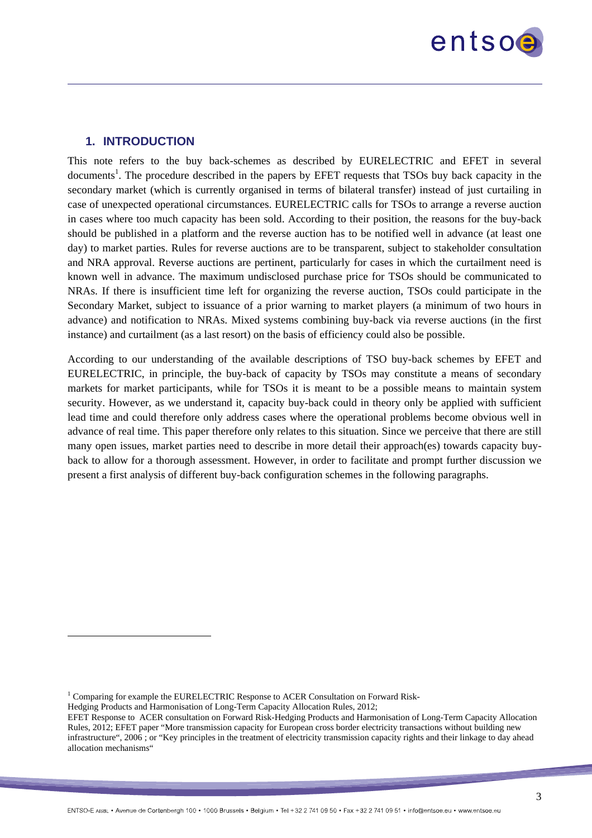

#### **1. INTRODUCTION**

This note refers to the buy back-schemes as described by EURELECTRIC and EFET in several documents<sup>1</sup>. The procedure described in the papers by EFET requests that TSOs buy back capacity in the secondary market (which is currently organised in terms of bilateral transfer) instead of just curtailing in case of unexpected operational circumstances. EURELECTRIC calls for TSOs to arrange a reverse auction in cases where too much capacity has been sold. According to their position, the reasons for the buy-back should be published in a platform and the reverse auction has to be notified well in advance (at least one day) to market parties. Rules for reverse auctions are to be transparent, subject to stakeholder consultation and NRA approval. Reverse auctions are pertinent, particularly for cases in which the curtailment need is known well in advance. The maximum undisclosed purchase price for TSOs should be communicated to NRAs. If there is insufficient time left for organizing the reverse auction, TSOs could participate in the Secondary Market, subject to issuance of a prior warning to market players (a minimum of two hours in advance) and notification to NRAs. Mixed systems combining buy-back via reverse auctions (in the first instance) and curtailment (as a last resort) on the basis of efficiency could also be possible.

According to our understanding of the available descriptions of TSO buy-back schemes by EFET and EURELECTRIC, in principle, the buy-back of capacity by TSOs may constitute a means of secondary markets for market participants, while for TSOs it is meant to be a possible means to maintain system security. However, as we understand it, capacity buy-back could in theory only be applied with sufficient lead time and could therefore only address cases where the operational problems become obvious well in advance of real time. This paper therefore only relates to this situation. Since we perceive that there are still many open issues, market parties need to describe in more detail their approach(es) towards capacity buyback to allow for a thorough assessment. However, in order to facilitate and prompt further discussion we present a first analysis of different buy-back configuration schemes in the following paragraphs.

 $\overline{a}$ 

 $1$  Comparing for example the EURELECTRIC Response to ACER Consultation on Forward Risk-

Hedging Products and Harmonisation of Long-Term Capacity Allocation Rules, 2012;

EFET Response to ACER consultation on Forward Risk-Hedging Products and Harmonisation of Long-Term Capacity Allocation Rules, 2012; EFET paper "More transmission capacity for European cross border electricity transactions without building new infrastructure", 2006 ; or "Key principles in the treatment of electricity transmission capacity rights and their linkage to day ahead allocation mechanisms"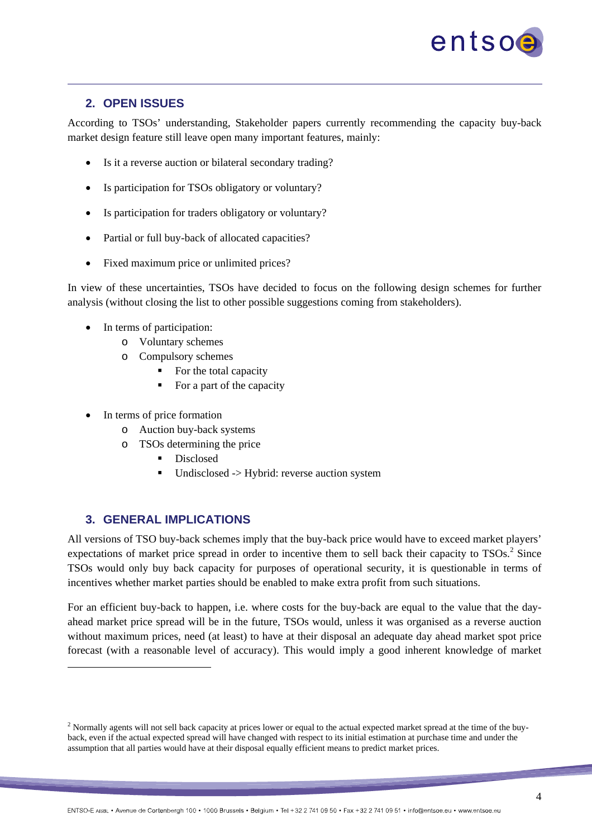

#### **2. OPEN ISSUES**

According to TSOs' understanding, Stakeholder papers currently recommending the capacity buy-back market design feature still leave open many important features, mainly:

- Is it a reverse auction or bilateral secondary trading?
- Is participation for TSOs obligatory or voluntary?
- Is participation for traders obligatory or voluntary?
- Partial or full buy-back of allocated capacities?
- Fixed maximum price or unlimited prices?

In view of these uncertainties, TSOs have decided to focus on the following design schemes for further analysis (without closing the list to other possible suggestions coming from stakeholders).

- In terms of participation:
	- o Voluntary schemes
	- o Compulsory schemes
		- $\blacksquare$  For the total capacity
		- For a part of the capacity
- In terms of price formation
	- o Auction buy-back systems
	- o TSOs determining the price
		- Disclosed
		- Undisclosed -> Hybrid: reverse auction system

#### **3. GENERAL IMPLICATIONS**

 $\overline{a}$ 

All versions of TSO buy-back schemes imply that the buy-back price would have to exceed market players' expectations of market price spread in order to incentive them to sell back their capacity to  $TSOs.$ <sup>2</sup> Since TSOs would only buy back capacity for purposes of operational security, it is questionable in terms of incentives whether market parties should be enabled to make extra profit from such situations.

For an efficient buy-back to happen, i.e. where costs for the buy-back are equal to the value that the dayahead market price spread will be in the future, TSOs would, unless it was organised as a reverse auction without maximum prices, need (at least) to have at their disposal an adequate day ahead market spot price forecast (with a reasonable level of accuracy). This would imply a good inherent knowledge of market

<sup>&</sup>lt;sup>2</sup> Normally agents will not sell back capacity at prices lower or equal to the actual expected market spread at the time of the buyback, even if the actual expected spread will have changed with respect to its initial estimation at purchase time and under the assumption that all parties would have at their disposal equally efficient means to predict market prices.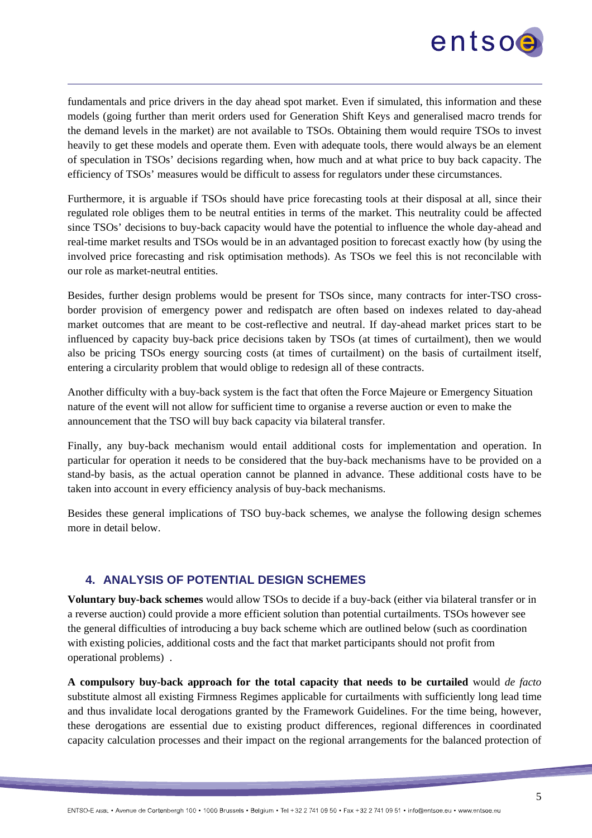

fundamentals and price drivers in the day ahead spot market. Even if simulated, this information and these models (going further than merit orders used for Generation Shift Keys and generalised macro trends for the demand levels in the market) are not available to TSOs. Obtaining them would require TSOs to invest heavily to get these models and operate them. Even with adequate tools, there would always be an element of speculation in TSOs' decisions regarding when, how much and at what price to buy back capacity. The efficiency of TSOs' measures would be difficult to assess for regulators under these circumstances.

Furthermore, it is arguable if TSOs should have price forecasting tools at their disposal at all, since their regulated role obliges them to be neutral entities in terms of the market. This neutrality could be affected since TSOs' decisions to buy-back capacity would have the potential to influence the whole day-ahead and real-time market results and TSOs would be in an advantaged position to forecast exactly how (by using the involved price forecasting and risk optimisation methods). As TSOs we feel this is not reconcilable with our role as market-neutral entities.

Besides, further design problems would be present for TSOs since, many contracts for inter-TSO crossborder provision of emergency power and redispatch are often based on indexes related to day-ahead market outcomes that are meant to be cost-reflective and neutral. If day-ahead market prices start to be influenced by capacity buy-back price decisions taken by TSOs (at times of curtailment), then we would also be pricing TSOs energy sourcing costs (at times of curtailment) on the basis of curtailment itself, entering a circularity problem that would oblige to redesign all of these contracts.

Another difficulty with a buy-back system is the fact that often the Force Majeure or Emergency Situation nature of the event will not allow for sufficient time to organise a reverse auction or even to make the announcement that the TSO will buy back capacity via bilateral transfer.

Finally, any buy-back mechanism would entail additional costs for implementation and operation. In particular for operation it needs to be considered that the buy-back mechanisms have to be provided on a stand-by basis, as the actual operation cannot be planned in advance. These additional costs have to be taken into account in every efficiency analysis of buy-back mechanisms.

Besides these general implications of TSO buy-back schemes, we analyse the following design schemes more in detail below.

### **4. ANALYSIS OF POTENTIAL DESIGN SCHEMES**

**Voluntary buy-back schemes** would allow TSOs to decide if a buy-back (either via bilateral transfer or in a reverse auction) could provide a more efficient solution than potential curtailments. TSOs however see the general difficulties of introducing a buy back scheme which are outlined below (such as coordination with existing policies, additional costs and the fact that market participants should not profit from operational problems) .

**A compulsory buy-back approach for the total capacity that needs to be curtailed** would *de facto* substitute almost all existing Firmness Regimes applicable for curtailments with sufficiently long lead time and thus invalidate local derogations granted by the Framework Guidelines. For the time being, however, these derogations are essential due to existing product differences, regional differences in coordinated capacity calculation processes and their impact on the regional arrangements for the balanced protection of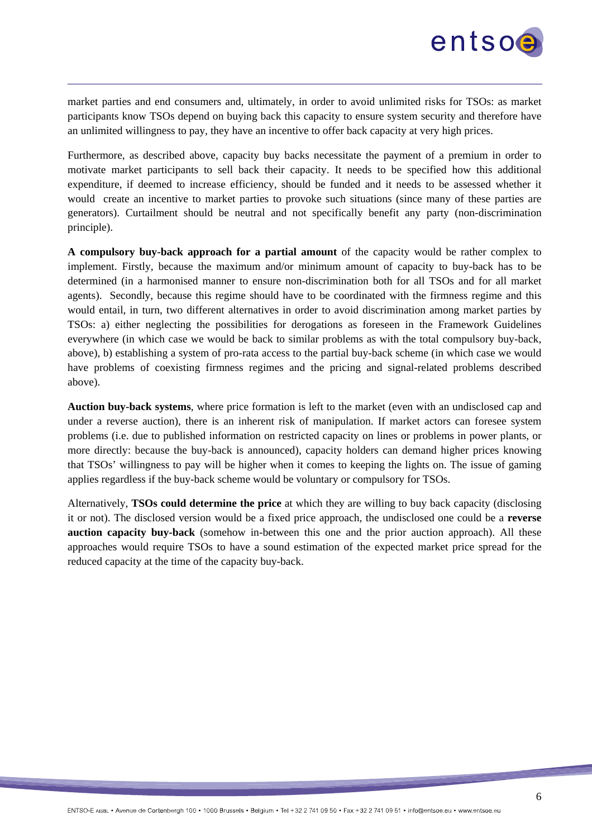

market parties and end consumers and, ultimately, in order to avoid unlimited risks for TSOs: as market participants know TSOs depend on buying back this capacity to ensure system security and therefore have an unlimited willingness to pay, they have an incentive to offer back capacity at very high prices.

Furthermore, as described above, capacity buy backs necessitate the payment of a premium in order to motivate market participants to sell back their capacity. It needs to be specified how this additional expenditure, if deemed to increase efficiency, should be funded and it needs to be assessed whether it would create an incentive to market parties to provoke such situations (since many of these parties are generators). Curtailment should be neutral and not specifically benefit any party (non-discrimination principle).

**A compulsory buy-back approach for a partial amount** of the capacity would be rather complex to implement. Firstly, because the maximum and/or minimum amount of capacity to buy-back has to be determined (in a harmonised manner to ensure non-discrimination both for all TSOs and for all market agents). Secondly, because this regime should have to be coordinated with the firmness regime and this would entail, in turn, two different alternatives in order to avoid discrimination among market parties by TSOs: a) either neglecting the possibilities for derogations as foreseen in the Framework Guidelines everywhere (in which case we would be back to similar problems as with the total compulsory buy-back, above), b) establishing a system of pro-rata access to the partial buy-back scheme (in which case we would have problems of coexisting firmness regimes and the pricing and signal-related problems described above).

**Auction buy-back systems**, where price formation is left to the market (even with an undisclosed cap and under a reverse auction), there is an inherent risk of manipulation. If market actors can foresee system problems (i.e. due to published information on restricted capacity on lines or problems in power plants, or more directly: because the buy-back is announced), capacity holders can demand higher prices knowing that TSOs' willingness to pay will be higher when it comes to keeping the lights on. The issue of gaming applies regardless if the buy-back scheme would be voluntary or compulsory for TSOs.

Alternatively, **TSOs could determine the price** at which they are willing to buy back capacity (disclosing it or not). The disclosed version would be a fixed price approach, the undisclosed one could be a **reverse auction capacity buy-back** (somehow in-between this one and the prior auction approach). All these approaches would require TSOs to have a sound estimation of the expected market price spread for the reduced capacity at the time of the capacity buy-back.